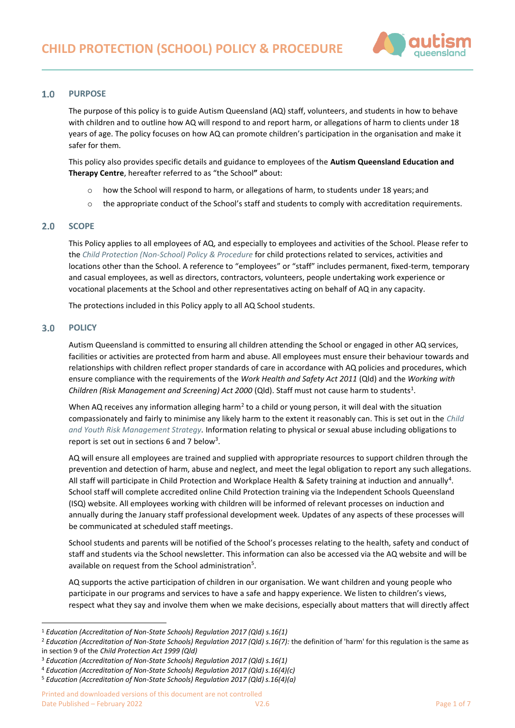

#### $1.0$ **PURPOSE**

The purpose of this policy is to guide Autism Queensland (AQ) staff, volunteers, and students in how to behave with children and to outline how AQ will respond to and report harm, or allegations of harm to clients under 18 years of age. The policy focuses on how AQ can promote children's participation in the organisation and make it safer for them.

This policy also provides specific details and guidance to employees of the **Autism Queensland Education and Therapy Centre**, hereafter referred to as "the School**"** about:

- o how the School will respond to harm, or allegations of harm, to students under 18 years; and
- $\circ$  the appropriate conduct of the School's staff and students to comply with accreditation requirements.

#### $2.0$ **SCOPE**

This Policy applies to all employees of AQ, and especially to employees and activities of the School. Please refer to the *[Child Protection \(Non-School\) Policy & Procedure](https://autismqueenslandlimited.sharepoint.com/sites/AQQADocuments/All%20Documents/Child%20Protection%20(Non-School)%20Policy%20&%20Procedure.pdf)* for child protections related to services, activities and locations other than the School. A reference to "employees" or "staff" includes permanent, fixed-term, temporary and casual employees, as well as directors, contractors, volunteers, people undertaking work experience or vocational placements at the School and other representatives acting on behalf of AQ in any capacity.

The protections included in this Policy apply to all AQ School students.

#### $3.0$ **POLICY**

Autism Queensland is committed to ensuring all children attending the School or engaged in other AQ services, facilities or activities are protected from harm and abuse. All employees must ensure their behaviour towards and relationships with children reflect proper standards of care in accordance with AQ policies and procedures, which ensure compliance with the requirements of the *Work Health and Safety Act 2011* (Qld) and the *Working with*  Children (Risk Management and Screening) Act 2000 (Qld). Staff must not cause harm to students<sup>1</sup>.

When AQ receives any information alleging harm<sup>2</sup> to a child or young person, it will deal with the situation compassionately and fairly to minimise any likely harm to the extent it reasonably can. This is set out in the *[Child](https://autismqueenslandlimited.sharepoint.com/sites/AQQADocuments/All%20Documents/Child%20&%20Youth%20Risk%20Management%20Strategy.pdf)  [and Youth Risk Management Strategy.](https://autismqueenslandlimited.sharepoint.com/sites/AQQADocuments/All%20Documents/Child%20&%20Youth%20Risk%20Management%20Strategy.pdf)* Information relating to physical or sexual abuse including obligations to report is set out in sections 6 and 7 below<sup>3</sup>.

AQ will ensure all employees are trained and supplied with appropriate resources to support children through the prevention and detection of harm, abuse and neglect, and meet the legal obligation to report any such allegations. All staff will participate in Child Protection and Workplace Health & Safety training at induction and annually<sup>4</sup>. School staff will complete accredited online Child Protection training via the Independent Schools Queensland (ISQ) website. All employees working with children will be informed of relevant processes on induction and annually during the January staff professional development week. Updates of any aspects of these processes will be communicated at scheduled staff meetings.

School students and parents will be notified of the School's processes relating to the health, safety and conduct of staff and students via the School newsletter. This information can also be accessed via the AQ website and will be available on request from the School administration<sup>5</sup>.

AQ supports the active participation of children in our organisation. We want children and young people who participate in our programs and services to have a safe and happy experience. We listen to children's views, respect what they say and involve them when we make decisions, especially about matters that will directly affect

<sup>1</sup> *Education (Accreditation of Non-State Schools) Regulation 2017 (Qld) s.16(1)*

<sup>&</sup>lt;sup>2</sup> Education (Accreditation of Non-State Schools) Regulation 2017 (Qld) s.16(7): the definition of 'harm' for this regulation is the same as in section 9 of the *Child Protection Act 1999 (Qld)*

<sup>3</sup> *Education (Accreditation of Non-State Schools) Regulation 2017 (Qld) s.16(1)*

<sup>&</sup>lt;sup>4</sup> Education (Accreditation of Non-State Schools) Regulation 2017 (Qld) s.16(4)(c)

<sup>&</sup>lt;sup>5</sup> Education (Accreditation of Non-State Schools) Regulation 2017 (Qld) s.16(4)(a)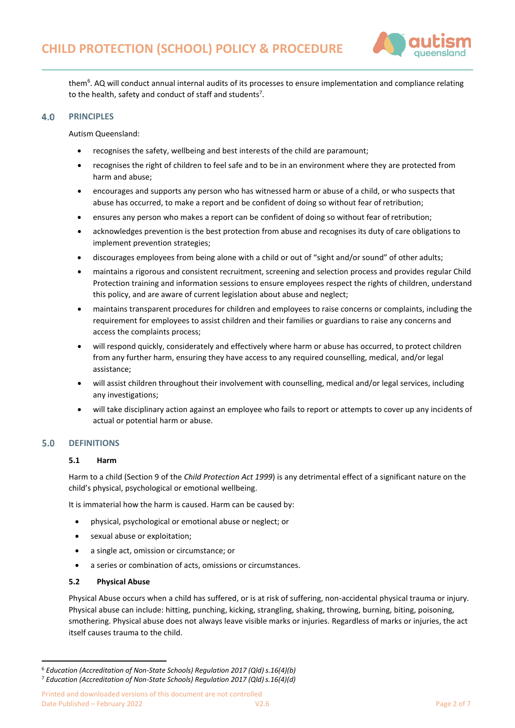

them<sup>6</sup>. AQ will conduct annual internal audits of its processes to ensure implementation and compliance relating to the health, safety and conduct of staff and students<sup>7</sup>.

#### 4.0 **PRINCIPLES**

Autism Queensland:

- recognises the safety, wellbeing and best interests of the child are paramount;
- recognises the right of children to feel safe and to be in an environment where they are protected from harm and abuse;
- encourages and supports any person who has witnessed harm or abuse of a child, or who suspects that abuse has occurred, to make a report and be confident of doing so without fear of retribution;
- ensures any person who makes a report can be confident of doing so without fear of retribution;
- acknowledges prevention is the best protection from abuse and recognises its duty of care obligations to implement prevention strategies;
- discourages employees from being alone with a child or out of "sight and/or sound" of other adults;
- maintains a rigorous and consistent recruitment, screening and selection process and provides regular Child Protection training and information sessions to ensure employees respect the rights of children, understand this policy, and are aware of current legislation about abuse and neglect;
- maintains transparent procedures for children and employees to raise concerns or complaints, including the requirement for employees to assist children and their families or guardians to raise any concerns and access the complaints process;
- will respond quickly, considerately and effectively where harm or abuse has occurred, to protect children from any further harm, ensuring they have access to any required counselling, medical, and/or legal assistance;
- will assist children throughout their involvement with counselling, medical and/or legal services, including any investigations;
- will take disciplinary action against an employee who fails to report or attempts to cover up any incidents of actual or potential harm or abuse.

#### **DEFINITIONS**  $5.0$

## **5.1 Harm**

Harm to a child (Section 9 of the *Child Protection Act 1999*) is any detrimental effect of a significant nature on the child's physical, psychological or emotional wellbeing.

It is immaterial how the harm is caused. Harm can be caused by:

- physical, psychological or emotional abuse or neglect; or
- sexual abuse or exploitation;
- a single act, omission or circumstance; or
- a series or combination of acts, omissions or circumstances.

#### **5.2 Physical Abuse**

Physical Abuse occurs when a child has suffered, or is at risk of suffering, non-accidental physical trauma or injury. Physical abuse can include: hitting, punching, kicking, strangling, shaking, throwing, burning, biting, poisoning, smothering. Physical abuse does not always leave visible marks or injuries. Regardless of marks or injuries, the act itself causes trauma to the child.

<sup>&</sup>lt;sup>6</sup> Education (Accreditation of Non-State Schools) Regulation 2017 (Qld) s.16(4)(b)

<sup>&</sup>lt;sup>7</sup> Education (Accreditation of Non-State Schools) Regulation 2017 (Qld) s.16(4)(d)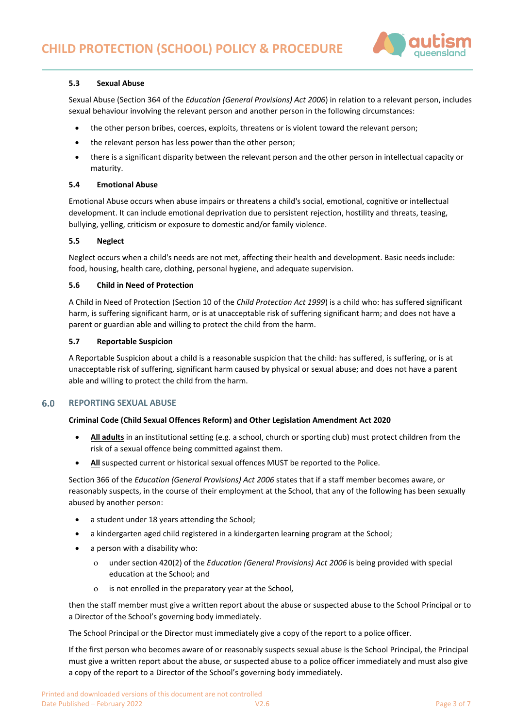

## **5.3 Sexual Abuse**

Sexual Abuse (Section 364 of the *Education (General Provisions) Act 2006*) in relation to a relevant person, includes sexual behaviour involving the relevant person and another person in the following circumstances:

- the other person bribes, coerces, exploits, threatens or is violent toward the relevant person;
- the relevant person has less power than the other person;
- there is a significant disparity between the relevant person and the other person in intellectual capacity or maturity.

### **5.4 Emotional Abuse**

Emotional Abuse occurs when abuse impairs or threatens a child's social, emotional, cognitive or intellectual development. It can include emotional deprivation due to persistent rejection, hostility and threats, teasing, bullying, yelling, criticism or exposure to domestic and/or family violence.

### **5.5 Neglect**

Neglect occurs when a child's needs are not met, affecting their health and development. Basic needs include: food, housing, health care, clothing, personal hygiene, and adequate supervision.

### **5.6 Child in Need of Protection**

A Child in Need of Protection (Section 10 of the *Child Protection Act 1999*) is a child who: has suffered significant harm, is suffering significant harm, or is at unacceptable risk of suffering significant harm; and does not have a parent or guardian able and willing to protect the child from the harm.

### **5.7 Reportable Suspicion**

A Reportable Suspicion about a child is a reasonable suspicion that the child: has suffered, is suffering, or is at unacceptable risk of suffering, significant harm caused by physical or sexual abuse; and does not have a parent able and willing to protect the child from the harm.

#### 6.0 **REPORTING SEXUAL ABUSE**

### **Criminal Code (Child Sexual Offences Reform) and Other Legislation Amendment Act 2020**

- **All adults** in an institutional setting (e.g. a school, church or sporting club) must protect children from the risk of a sexual offence being committed against them.
- All suspected current or historical sexual offences MUST be reported to the Police.

Section 366 of the *Education (General Provisions) Act 2006* states that if a staff member becomes aware, or reasonably suspects, in the course of their employment at the School, that any of the following has been sexually abused by another person:

- a student under 18 years attending the School;
- a kindergarten aged child registered in a kindergarten learning program at the School;
- a person with a disability who:
	- under section 420(2) of the *Education (General Provisions) Act 2006* is being provided with special education at the School; and
	- is not enrolled in the preparatory year at the School,

then the staff member must give a written report about the abuse or suspected abuse to the School Principal or to a Director of the School's governing body immediately.

The School Principal or the Director must immediately give a copy of the report to a police officer.

If the first person who becomes aware of or reasonably suspects sexual abuse is the School Principal, the Principal must give a written report about the abuse, or suspected abuse to a police officer immediately and must also give a copy of the report to a Director of the School's governing body immediately.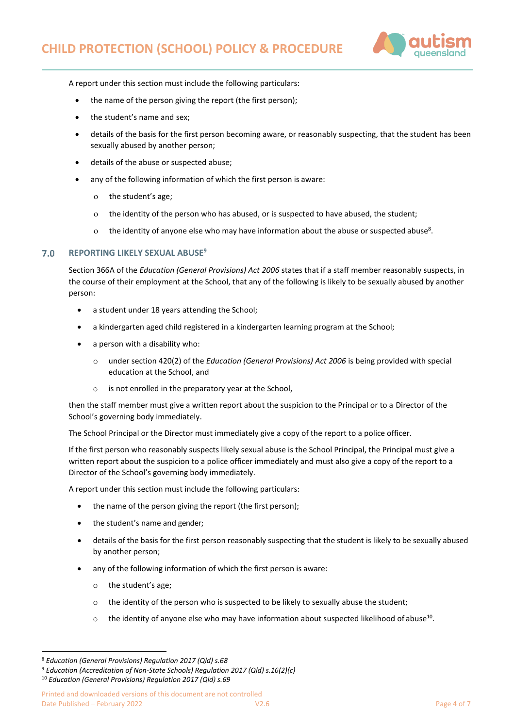

A report under this section must include the following particulars:

- the name of the person giving the report (the first person);
- the student's name and sex;
- details of the basis for the first person becoming aware, or reasonably suspecting, that the student has been sexually abused by another person;
- details of the abuse or suspected abuse;
- any of the following information of which the first person is aware:
	- the student's age;
	- the identity of the person who has abused, or is suspected to have abused, the student;
	- $\rm o$  the identity of anyone else who may have information about the abuse or suspected abuse<sup>8</sup>.

#### **REPORTING LIKELY SEXUAL ABUSE<sup>9</sup>**  $7.0$

Section 366A of the *Education (General Provisions) Act 2006* states that if a staff member reasonably suspects, in the course of their employment at the School, that any of the following is likely to be sexually abused by another person:

- a student under 18 years attending the School;
- a kindergarten aged child registered in a kindergarten learning program at the School;
- a person with a disability who:
	- under section 420(2) of the *Education (General Provisions) Act 2006* is being provided with special education at the School, and
	- o is not enrolled in the preparatory year at the School,

then the staff member must give a written report about the suspicion to the Principal or to a Director of the School's governing body immediately.

The School Principal or the Director must immediately give a copy of the report to a police officer.

If the first person who reasonably suspects likely sexual abuse is the School Principal, the Principal must give a written report about the suspicion to a police officer immediately and must also give a copy of the report to a Director of the School's governing body immediately.

A report under this section must include the following particulars:

- the name of the person giving the report (the first person);
- the student's name and gender;
- details of the basis for the first person reasonably suspecting that the student is likely to be sexually abused by another person;
- any of the following information of which the first person is aware:
	- o the student's age;
	- $\circ$  the identity of the person who is suspected to be likely to sexually abuse the student;
	- $\circ$  the identity of anyone else who may have information about suspected likelihood of abuse<sup>10</sup>.

<sup>9</sup> *Education (Accreditation of Non-State Schools) Regulation 2017 (Qld) s.16(2)(c)*

Printed and downloaded versions of this document are not controlled Date Published – February 2022 **Page 4 of 7** Page 4 of 7

<sup>8</sup> *Education (General Provisions) Regulation 2017 (Qld) s.68*

<sup>10</sup> *Education (General Provisions) Regulation 2017 (Qld) s.69*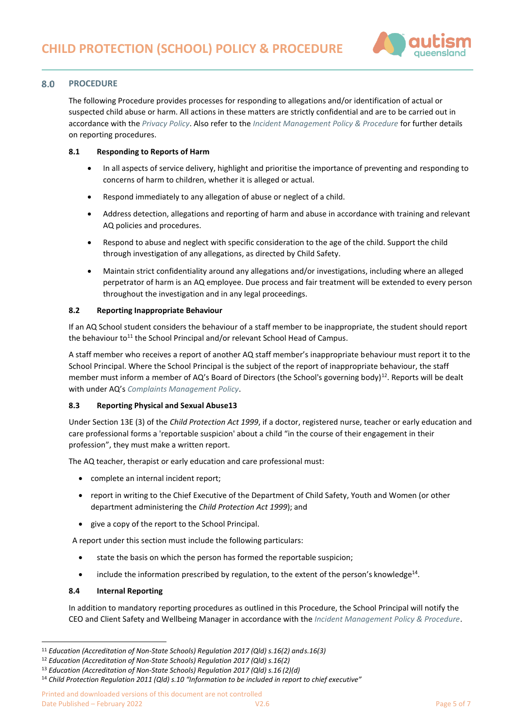

#### 8.0 **PROCEDURE**

The following Procedure provides processes for responding to allegations and/or identification of actual or suspected child abuse or harm. All actions in these matters are strictly confidential and are to be carried out in accordance with the *[Privacy Policy](https://autismqueenslandlimited.sharepoint.com/sites/AQQADocuments/All%20Documents/Privacy%20Policy.pdf)*. Also refer to the *[Incident Management Policy & Procedure](https://autismqueenslandlimited.sharepoint.com/sites/AQQADocuments/All%20Documents/Incident%20Management%20Policy%20&%20Procedure.pdf)* for further details on reporting procedures.

## **8.1 Responding to Reports of Harm**

- In all aspects of service delivery, highlight and prioritise the importance of preventing and responding to concerns of harm to children, whether it is alleged or actual.
- Respond immediately to any allegation of abuse or neglect of a child.
- Address detection, allegations and reporting of harm and abuse in accordance with training and relevant AQ policies and procedures.
- Respond to abuse and neglect with specific consideration to the age of the child. Support the child through investigation of any allegations, as directed by Child Safety.
- Maintain strict confidentiality around any allegations and/or investigations, including where an alleged perpetrator of harm is an AQ employee. Due process and fair treatment will be extended to every person throughout the investigation and in any legal proceedings.

## **8.2 Reporting Inappropriate Behaviour**

If an AQ School student considers the behaviour of a staff member to be inappropriate, the student should report the behaviour to<sup>11</sup> the School Principal and/or relevant School Head of Campus.

A staff member who receives a report of another AQ staff member's inappropriate behaviour must report it to the School Principal. Where the School Principal is the subject of the report of inappropriate behaviour, the staff member must inform a member of AQ's Board of Directors (the School's governing body)<sup>12</sup>. Reports will be dealt with under AQ's *[Complaints Management Policy](https://autismqueenslandlimited.sharepoint.com/sites/AQQADocuments/All%20Documents/Complaints%20Management%20Policy.pdf)*.

# **8.3 Reporting Physical and Sexual Abuse13**

Under Section 13E (3) of the *Child Protection Act 1999*, if a doctor, registered nurse, teacher or early education and care professional forms a 'reportable suspicion' about a child "in the course of their engagement in their profession", they must make a written report.

The AQ teacher, therapist or early education and care professional must:

- complete an internal incident report;
- report in writing to the Chief Executive of the Department of Child Safety, Youth and Women (or other department administering the *Child Protection Act 1999*); and
- give a copy of the report to the School Principal.

A report under this section must include the following particulars:

- state the basis on which the person has formed the reportable suspicion;
- $\bullet$  include the information prescribed by regulation, to the extent of the person's knowledge<sup>14</sup>.

## **8.4 Internal Reporting**

In addition to mandatory reporting procedures as outlined in this Procedure, the School Principal will notify the CEO and Client Safety and Wellbeing Manager in accordance with the *[Incident Management Policy & Procedure](https://autismqueenslandlimited.sharepoint.com/sites/AQQADocuments/All%20Documents/Incident%20Management%20Policy%20&%20Procedure.pdf)*.

<sup>11</sup> *Education (Accreditation of Non-State Schools) Regulation 2017 (Qld) s.16(2) ands.16(3)*

<sup>12</sup> *Education (Accreditation of Non-State Schools) Regulation 2017 (Qld) s.16(2)*

<sup>13</sup> *Education (Accreditation of Non-State Schools) Regulation 2017 (Qld) s.16 (2)(d)*

<sup>14</sup> *Child Protection Regulation 2011 (Qld) s.10 "Information to be included in report to chief executive"*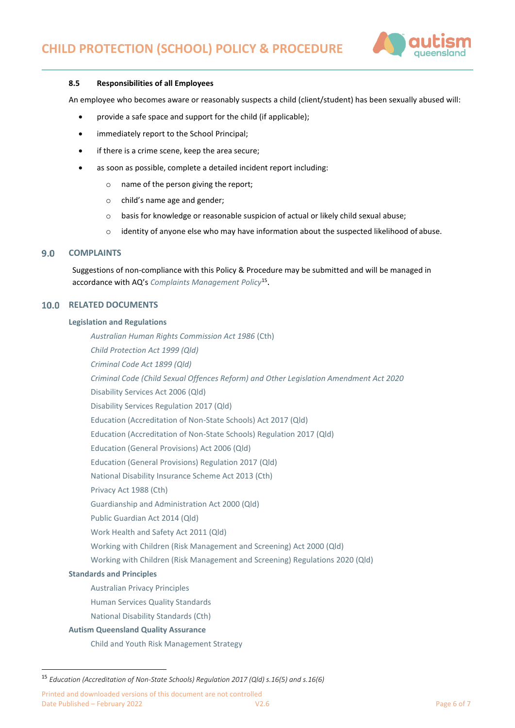

### **8.5 Responsibilities of all Employees**

An employee who becomes aware or reasonably suspects a child (client/student) has been sexually abused will:

- provide a safe space and support for the child (if applicable);
- immediately report to the School Principal;
- if there is a crime scene, keep the area secure;
- as soon as possible, complete a detailed incident report including:
	- o name of the person giving the report;
	- o child's name age and gender;
	- $\circ$  basis for knowledge or reasonable suspicion of actual or likely child sexual abuse;
	- o identity of anyone else who may have information about the suspected likelihood of abuse.

#### **COMPLAINTS**  $9.0$

Suggestions of non-compliance with this Policy & Procedure may be submitted and will be managed in accordance with AQ's *[Complaints Management Policy](Complaints%20Management%20Policy)*<sup>15</sup> .

## **10.0 RELATED DOCUMENTS**

#### **Legislation and Regulations**

*[Australian Human Rights Commission Act 1986](https://www.legislation.gov.au/Details/C2021C00434)* (Cth) *[Child Protection Act 1999 \(Qld\)](https://www.legislation.qld.gov.au/view/html/inforce/current/act-1999-010) [Criminal Code Act 1899 \(Qld\)](https://www.legislation.qld.gov.au/view/pdf/inforce/current/act-1899-009) [Criminal Code \(Child Sexual Offences Reform\) and Other Legislation Amendment Act 2020](https://www.legislation.qld.gov.au/view/html/asmade/act-2020-032)* [Disability Services Act 2006 \(Qld\)](https://www.legislation.qld.gov.au/view/html/inforce/current/act-2006-012) [Disability Services Regulation 2017 \(Qld\)](https://www.legislation.qld.gov.au/view/html/inforce/current/sl-2017-0099) [Education \(Accreditation of Non-State Schools\) Act 2017 \(Qld\)](https://www.legislation.qld.gov.au/view/html/inforce/current/act-2001-060) [Education \(Accreditation of Non-State Schools\) Regulation 2017 \(Qld\)](https://www.legislation.qld.gov.au/view/html/inforce/current/sl-2001-0211) [Education \(General Provisions\) Act 2006 \(Qld\)](https://www.legislation.qld.gov.au/view/html/inforce/current/act-2006-039) [Education \(General Provisions\) Regulation 2017 \(Qld\)](https://www.legislation.qld.gov.au/view/html/inforce/current/sl-2017-0161) [National Disability Insurance Scheme Act 2013 \(Cth\)](https://www.legislation.gov.au/Details/C2016C00934) [Privacy Act 1988 \(Cth\)](https://www.legislation.gov.au/Details/C2017C00283) [Guardianship and Administration Act 2000 \(Qld\)](https://www.legislation.qld.gov.au/view/html/inforce/current/act-2000-008) [Public Guardian Act 2014 \(Qld\)](https://www.legislation.qld.gov.au/view/html/inforce/current/act-2014-026) Work Health and Safety Act 2011 (Qld) [Working with Children \(Risk Management and Screening\) Act 2000 \(Qld\)](https://www.legislation.qld.gov.au/view/html/inforce/current/act-2000-060) [Working with Children \(Risk Management and Screening\) Regulations 2020 \(Qld\)](https://www.legislation.qld.gov.au/view/html/inforce/current/sl-2011-0148) **Standards and Principles** [Australian Privacy Principles](https://www.oaic.gov.au/individuals/privacy-fact-sheets/general/privacy-fact-sheet-17-australian-privacy-principles) [Human Services Quality Standards](https://www.communities.qld.gov.au/gateway/funding-grants/human-services-quality-framework/overview-framework) [National Disability Standards \(Cth\)](https://www.dss.gov.au/our-responsibilities/disability-and-carers/standards-and-quality-assurance/national-standards-for-disability-services)

# **Autism Queensland Quality Assurance**

[Child and Youth Risk Management Strategy](https://autismqueenslandlimited.sharepoint.com/sites/AQQADocuments/All%20Documents/Child%20&%20Youth%20Risk%20Management%20Strategy.pdf)

Printed and downloaded versions of this document are not controlled Date Published – February 2022 **Page 6 of 7** Page 6 of 7

<sup>15</sup> *Education (Accreditation of Non-State Schools) Regulation 2017 (Qld) s.16(5) and s.16(6)*